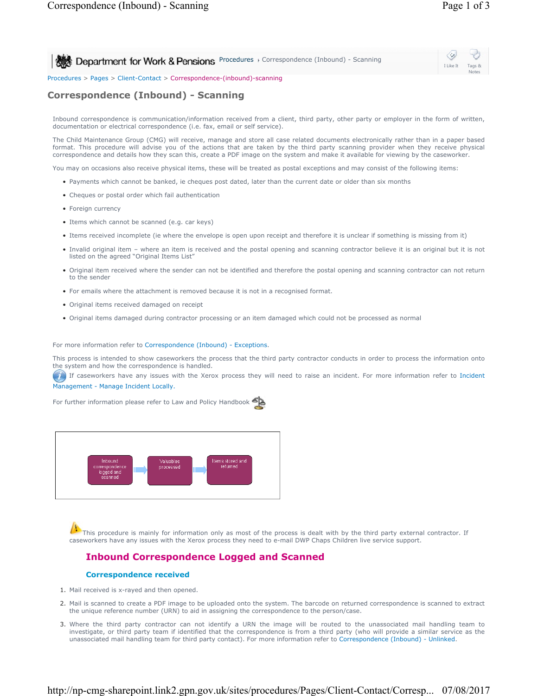I Like It Tags & Notes

**Procedures > Correspondence (Inbound) - Scanning** 

Procedures > Pages > Client-Contact > Correspondence-(inbound)-scanning

# **Correspondence (Inbound) - Scanning**

Inbound correspondence is communication/information received from a client, third party, other party or employer in the form of written, documentation or electrical correspondence (i.e. fax, email or self service).

The Child Maintenance Group (CMG) will receive, manage and store all case related documents electronically rather than in a paper based format. This procedure will advise you of the actions that are taken by the third party scanning provider when they receive physical correspondence and details how they scan this, create a PDF image on the system and make it available for viewing by the caseworker.

You may on occasions also receive physical items, these will be treated as postal exceptions and may consist of the following items:

- Payments which cannot be banked, ie cheques post dated, later than the current date or older than six months
- Cheques or postal order which fail authentication
- Foreign currency
- Items which cannot be scanned (e.g. car keys)
- Items received incomplete (ie where the envelope is open upon receipt and therefore it is unclear if something is missing from it)
- Invalid original item where an item is received and the postal opening and scanning contractor believe it is an original but it is not listed on the agreed "Original Items List"
- Original item received where the sender can not be identified and therefore the postal opening and scanning contractor can not return to the sender
- For emails where the attachment is removed because it is not in a recognised format.
- Original items received damaged on receipt
- Original items damaged during contractor processing or an item damaged which could not be processed as normal

For more information refer to Correspondence (Inbound) - Exceptions.

This process is intended to show caseworkers the process that the third party contractor conducts in order to process the information onto the system and how the correspondence is handled.

If caseworkers have any issues with the Xerox process they will need to raise an incident. For more information refer to Incident

Management - Manage Incident Locally.

For further information please refer to Law and Policy Handbook



This procedure is mainly for information only as most of the process is dealt with by the third party external contractor. If caseworkers have any issues with the Xerox process they need to e-mail DWP Chaps Children live service support.

### **Inbound Correspondence Logged and Scanned**

#### **Correspondence received**

- 1. Mail received is x-rayed and then opened.
- Mail is scanned to create a PDF image to be uploaded onto the system. The barcode on returned correspondence is scanned to extract 2. the unique reference number (URN) to aid in assigning the correspondence to the person/case.
- 3. Where the third party contractor can not identify a URN the image will be routed to the unassociated mail handling team to investigate, or third party team if identified that the correspondence is from a third party (who will provide a similar service as the unassociated mail handling team for third party contact). For more information refer to Correspondence (Inbound) - Unlinked.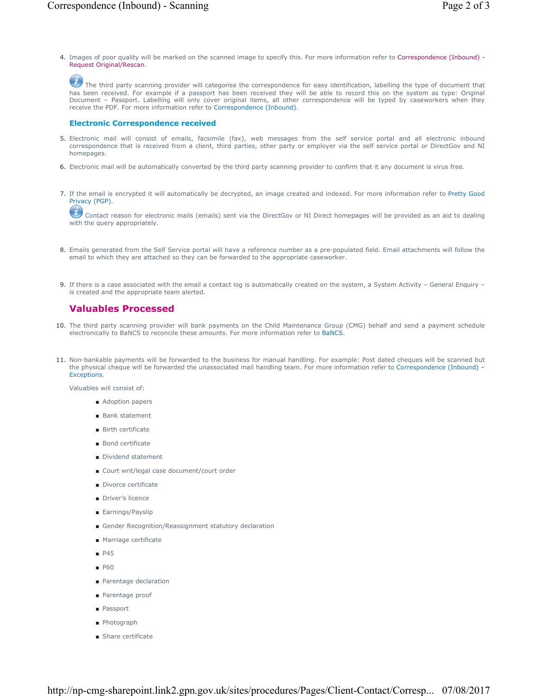4. Images of poor quality will be marked on the scanned image to specify this. For more information refer to Correspondence (Inbound) -Request Original/Rescan.

The third party scanning provider will categorise the correspondence for easy identification, labelling the type of document that has been received. For example if a passport has been received they will be able to record this on the system as type: Original Document – Passport. Labelling will only cover original items, all other correspondence will be typed by caseworkers when they receive the PDF. For more information refer to Correspondence (Inbound).

#### **Electronic Correspondence received**

- 5. Electronic mail will consist of emails, facsimile (fax), web messages from the self service portal and all electronic inbound correspondence that is received from a client, third parties, other party or employer via the self service portal or DirectGov and NI homepages.
- 6. Electronic mail will be automatically converted by the third party scanning provider to confirm that it any document is virus free.
- 7. If the email is encrypted it will automatically be decrypted, an image created and indexed. For more information refer to Pretty Good Privacy (PGP).

Contact reason for electronic mails (emails) sent via the DirectGov or NI Direct homepages will be provided as an aid to dealing with the query appropriately.

- 8. Emails generated from the Self Service portal will have a reference number as a pre-populated field. Email attachments will follow the email to which they are attached so they can be forwarded to the appropriate caseworker.
- If there is a case associated with the email a contact log is automatically created on the system, a System Activity General Enquiry 9. is created and the appropriate team alerted.

# **Valuables Processed**

- 10. The third party scanning provider will bank payments on the Child Maintenance Group (CMG) behalf and send a payment schedule electronically to BaNCS to reconcile these amounts. For more information refer to BaNCS.
- 11. Non-bankable payments will be forwarded to the business for manual handling. For example: Post dated cheques will be scanned but the physical cheque will be forwarded the unassociated mail handling team. For more information refer to Correspondence (Inbound) -Exceptions.

Valuables will consist of:

- Adoption papers
- Bank statement
- Birth certificate
- Bond certificate
- Dividend statement
- Court writ/legal case document/court order
- Divorce certificate
- Driver's licence
- Earnings/Payslip
- Gender Recognition/Reassignment statutory declaration
- Marriage certificate
- P45
- P60
- Parentage declaration
- Parentage proof
- Passport
- Photograph
- Share certificate